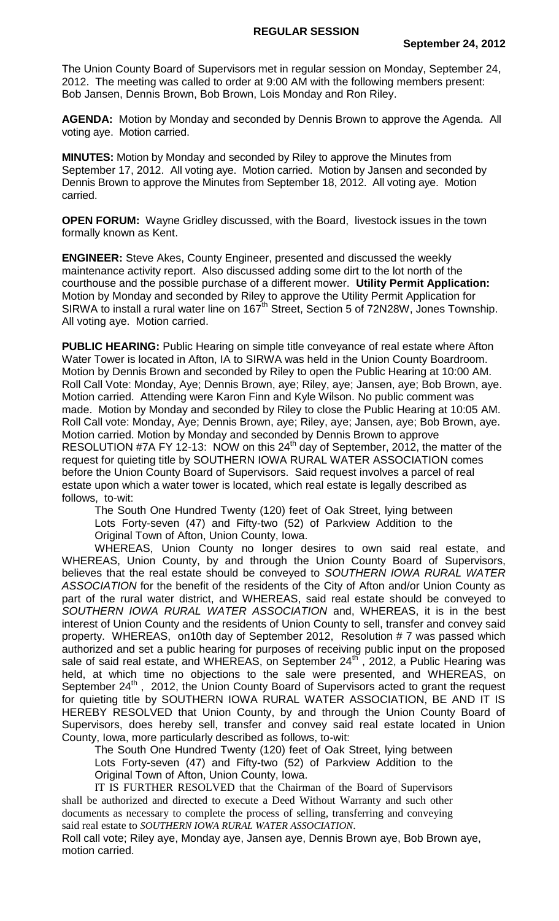The Union County Board of Supervisors met in regular session on Monday, September 24, 2012. The meeting was called to order at 9:00 AM with the following members present: Bob Jansen, Dennis Brown, Bob Brown, Lois Monday and Ron Riley.

**AGENDA:** Motion by Monday and seconded by Dennis Brown to approve the Agenda. All voting aye. Motion carried.

**MINUTES:** Motion by Monday and seconded by Riley to approve the Minutes from September 17, 2012. All voting aye. Motion carried. Motion by Jansen and seconded by Dennis Brown to approve the Minutes from September 18, 2012. All voting aye. Motion carried.

**OPEN FORUM:** Wayne Gridley discussed, with the Board, livestock issues in the town formally known as Kent.

**ENGINEER:** Steve Akes, County Engineer, presented and discussed the weekly maintenance activity report. Also discussed adding some dirt to the lot north of the courthouse and the possible purchase of a different mower. **Utility Permit Application:**  Motion by Monday and seconded by Riley to approve the Utility Permit Application for SIRWA to install a rural water line on 167<sup>th</sup> Street, Section 5 of 72N28W, Jones Township. All voting aye. Motion carried.

**PUBLIC HEARING:** Public Hearing on simple title conveyance of real estate where Afton Water Tower is located in Afton, IA to SIRWA was held in the Union County Boardroom. Motion by Dennis Brown and seconded by Riley to open the Public Hearing at 10:00 AM. Roll Call Vote: Monday, Aye; Dennis Brown, aye; Riley, aye; Jansen, aye; Bob Brown, aye. Motion carried. Attending were Karon Finn and Kyle Wilson. No public comment was made. Motion by Monday and seconded by Riley to close the Public Hearing at 10:05 AM. Roll Call vote: Monday, Aye; Dennis Brown, aye; Riley, aye; Jansen, aye; Bob Brown, aye. Motion carried. Motion by Monday and seconded by Dennis Brown to approve RESOLUTION #7A FY 12-13: NOW on this  $24<sup>th</sup>$  day of September, 2012, the matter of the request for quieting title by SOUTHERN IOWA RURAL WATER ASSOCIATION comes before the Union County Board of Supervisors. Said request involves a parcel of real estate upon which a water tower is located, which real estate is legally described as follows, to-wit:

The South One Hundred Twenty (120) feet of Oak Street, lying between Lots Forty-seven (47) and Fifty-two (52) of Parkview Addition to the Original Town of Afton, Union County, Iowa.

WHEREAS, Union County no longer desires to own said real estate, and WHEREAS, Union County, by and through the Union County Board of Supervisors, believes that the real estate should be conveyed to *SOUTHERN IOWA RURAL WATER ASSOCIATION* for the benefit of the residents of the City of Afton and/or Union County as part of the rural water district, and WHEREAS, said real estate should be conveyed to *SOUTHERN IOWA RURAL WATER ASSOCIATION* and, WHEREAS, it is in the best interest of Union County and the residents of Union County to sell, transfer and convey said property. WHEREAS, on10th day of September 2012, Resolution # 7 was passed which authorized and set a public hearing for purposes of receiving public input on the proposed sale of said real estate, and WHEREAS, on September  $24<sup>th</sup>$ , 2012, a Public Hearing was held, at which time no objections to the sale were presented, and WHEREAS, on September  $24^{th}$ , 2012, the Union County Board of Supervisors acted to grant the request for quieting title by SOUTHERN IOWA RURAL WATER ASSOCIATION, BE AND IT IS HEREBY RESOLVED that Union County, by and through the Union County Board of Supervisors, does hereby sell, transfer and convey said real estate located in Union County, Iowa, more particularly described as follows, to-wit:

The South One Hundred Twenty (120) feet of Oak Street, lying between Lots Forty-seven (47) and Fifty-two (52) of Parkview Addition to the Original Town of Afton, Union County, Iowa.

IT IS FURTHER RESOLVED that the Chairman of the Board of Supervisors shall be authorized and directed to execute a Deed Without Warranty and such other documents as necessary to complete the process of selling, transferring and conveying said real estate to *SOUTHERN IOWA RURAL WATER ASSOCIATION*.

Roll call vote; Riley aye, Monday aye, Jansen aye, Dennis Brown aye, Bob Brown aye, motion carried.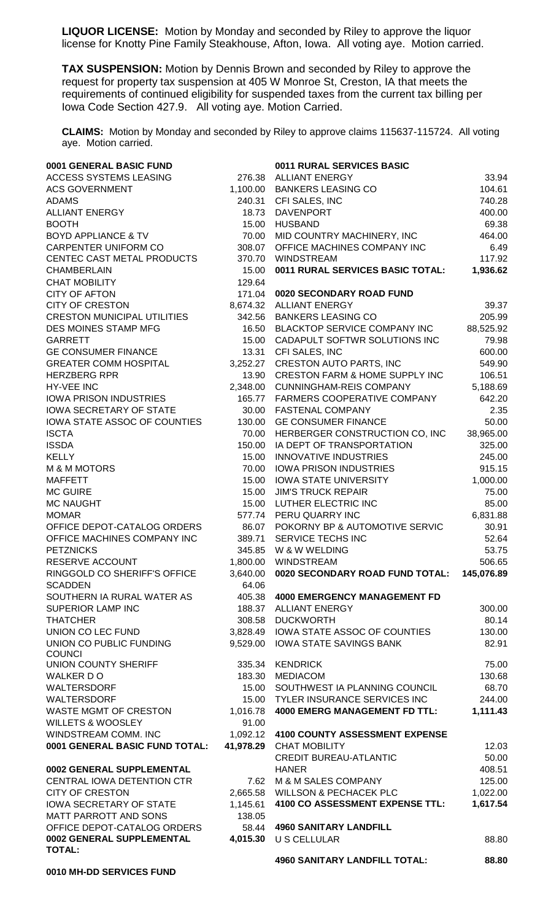**LIQUOR LICENSE:** Motion by Monday and seconded by Riley to approve the liquor license for Knotty Pine Family Steakhouse, Afton, Iowa. All voting aye. Motion carried.

**TAX SUSPENSION:** Motion by Dennis Brown and seconded by Riley to approve the request for property tax suspension at 405 W Monroe St, Creston, IA that meets the requirements of continued eligibility for suspended taxes from the current tax billing per Iowa Code Section 427.9. All voting aye. Motion Carried.

**CLAIMS:** Motion by Monday and seconded by Riley to approve claims 115637-115724. All voting aye. Motion carried.

| 0001 GENERAL BASIC FUND                         |                   | 0011 RURAL SERVICES BASIC                              |                |
|-------------------------------------------------|-------------------|--------------------------------------------------------|----------------|
| ACCESS SYSTEMS LEASING                          |                   | 276.38 ALLIANT ENERGY                                  | 33.94          |
| <b>ACS GOVERNMENT</b>                           |                   | 1,100.00 BANKERS LEASING CO                            | 104.61         |
| <b>ADAMS</b>                                    |                   | 240.31 CFI SALES, INC                                  | 740.28         |
| <b>ALLIANT ENERGY</b>                           | 18.73             | <b>DAVENPORT</b>                                       | 400.00         |
| <b>BOOTH</b>                                    | 15.00             | <b>HUSBAND</b>                                         | 69.38          |
| <b>BOYD APPLIANCE &amp; TV</b>                  | 70.00             | MID COUNTRY MACHINERY, INC                             | 464.00         |
| CARPENTER UNIFORM CO                            | 308.07            | OFFICE MACHINES COMPANY INC                            | 6.49           |
| CENTEC CAST METAL PRODUCTS                      | 370.70            | <b>WINDSTREAM</b>                                      | 117.92         |
| <b>CHAMBERLAIN</b>                              | 15.00             | 0011 RURAL SERVICES BASIC TOTAL:                       | 1,936.62       |
| <b>CHAT MOBILITY</b>                            | 129.64            |                                                        |                |
| <b>CITY OF AFTON</b>                            | 171.04            | 0020 SECONDARY ROAD FUND                               |                |
| <b>CITY OF CRESTON</b>                          | 8,674.32          | <b>ALLIANT ENERGY</b>                                  | 39.37          |
| <b>CRESTON MUNICIPAL UTILITIES</b>              | 342.56            | <b>BANKERS LEASING CO</b>                              | 205.99         |
| DES MOINES STAMP MFG                            | 16.50             | BLACKTOP SERVICE COMPANY INC                           | 88,525.92      |
| <b>GARRETT</b>                                  | 15.00             | CADAPULT SOFTWR SOLUTIONS INC                          | 79.98          |
| <b>GE CONSUMER FINANCE</b>                      | 13.31             | CFI SALES, INC                                         | 600.00         |
| <b>GREATER COMM HOSPITAL</b>                    | 3,252.27          | CRESTON AUTO PARTS, INC                                | 549.90         |
| <b>HERZBERG RPR</b>                             | 13.90             | <b>CRESTON FARM &amp; HOME SUPPLY INC</b>              | 106.51         |
| <b>HY-VEE INC</b>                               | 2,348.00          | <b>CUNNINGHAM-REIS COMPANY</b>                         | 5,188.69       |
| <b>IOWA PRISON INDUSTRIES</b>                   | 165.77            | FARMERS COOPERATIVE COMPANY                            | 642.20         |
| <b>IOWA SECRETARY OF STATE</b>                  | 30.00             | <b>FASTENAL COMPANY</b>                                | 2.35           |
| IOWA STATE ASSOC OF COUNTIES                    | 130.00            | <b>GE CONSUMER FINANCE</b>                             | 50.00          |
| <b>ISCTA</b>                                    | 70.00             | HERBERGER CONSTRUCTION CO, INC                         | 38,965.00      |
| <b>ISSDA</b>                                    | 150.00            | IA DEPT OF TRANSPORTATION                              | 325.00         |
| <b>KELLY</b>                                    | 15.00             | <b>INNOVATIVE INDUSTRIES</b>                           | 245.00         |
| <b>M &amp; M MOTORS</b>                         | 70.00             | <b>IOWA PRISON INDUSTRIES</b>                          | 915.15         |
| <b>MAFFETT</b>                                  | 15.00             | <b>IOWA STATE UNIVERSITY</b>                           | 1,000.00       |
| <b>MC GUIRE</b>                                 | 15.00             | <b>JIM'S TRUCK REPAIR</b>                              | 75.00          |
| <b>MC NAUGHT</b>                                | 15.00             | LUTHER ELECTRIC INC                                    | 85.00          |
| <b>MOMAR</b>                                    |                   | 577.74 PERU QUARRY INC                                 | 6,831.88       |
| OFFICE DEPOT-CATALOG ORDERS                     |                   | 86.07 POKORNY BP & AUTOMOTIVE SERVIC                   | 30.91          |
| OFFICE MACHINES COMPANY INC                     |                   | 389.71 SERVICE TECHS INC                               | 52.64<br>53.75 |
| <b>PETZNICKS</b>                                |                   | 345.85 W & W WELDING                                   |                |
| RESERVE ACCOUNT<br>RINGGOLD CO SHERIFF'S OFFICE |                   | 1,800.00 WINDSTREAM<br>0020 SECONDARY ROAD FUND TOTAL: | 506.65         |
| <b>SCADDEN</b>                                  | 3,640.00<br>64.06 |                                                        | 145,076.89     |
| SOUTHERN IA RURAL WATER AS                      | 405.38            | <b>4000 EMERGENCY MANAGEMENT FD</b>                    |                |
| <b>SUPERIOR LAMP INC</b>                        | 188.37            | <b>ALLIANT ENERGY</b>                                  | 300.00         |
| <b>THATCHER</b>                                 | 308.58            | <b>DUCKWORTH</b>                                       | 80.14          |
| UNION CO LEC FUND                               |                   | 3,828.49 IOWA STATE ASSOC OF COUNTIES                  | 130.00         |
| UNION CO PUBLIC FUNDING                         | 9,529.00          | <b>IOWA STATE SAVINGS BANK</b>                         | 82.91          |
| <b>COUNCI</b>                                   |                   |                                                        |                |
| UNION COUNTY SHERIFF                            | 335.34            | <b>KENDRICK</b>                                        | 75.00          |
| WALKER DO                                       | 183.30            | <b>MEDIACOM</b>                                        | 130.68         |
| WALTERSDORF                                     | 15.00             | SOUTHWEST IA PLANNING COUNCIL                          | 68.70          |
| WALTERSDORF                                     | 15.00             | TYLER INSURANCE SERVICES INC                           | 244.00         |
| WASTE MGMT OF CRESTON                           | 1,016.78          | <b>4000 EMERG MANAGEMENT FD TTL:</b>                   | 1,111.43       |
| <b>WILLETS &amp; WOOSLEY</b>                    | 91.00             |                                                        |                |
| WINDSTREAM COMM. INC                            | 1,092.12          | <b>4100 COUNTY ASSESSMENT EXPENSE</b>                  |                |
| 0001 GENERAL BASIC FUND TOTAL:                  |                   | 41,978.29 CHAT MOBILITY                                | 12.03          |
|                                                 |                   | <b>CREDIT BUREAU-ATLANTIC</b>                          | 50.00          |
| 0002 GENERAL SUPPLEMENTAL                       |                   | <b>HANER</b>                                           | 408.51         |
| CENTRAL IOWA DETENTION CTR                      | 7.62              | M & M SALES COMPANY                                    | 125.00         |
| <b>CITY OF CRESTON</b>                          |                   | 2,665.58 WILLSON & PECHACEK PLC                        | 1,022.00       |
| <b>IOWA SECRETARY OF STATE</b>                  | 1,145.61          | 4100 CO ASSESSMENT EXPENSE TTL:                        | 1,617.54       |
| MATT PARROTT AND SONS                           | 138.05            |                                                        |                |
| OFFICE DEPOT-CATALOG ORDERS                     | 58.44             | <b>4960 SANITARY LANDFILL</b>                          |                |
| 0002 GENERAL SUPPLEMENTAL<br><b>TOTAL:</b>      | 4,015.30          | U S CELLULAR                                           | 88.80          |
|                                                 |                   | <b>4960 SANITARY LANDFILL TOTAL:</b>                   | 88.80          |
| 0010 MH-DD SERVICES FUND                        |                   |                                                        |                |